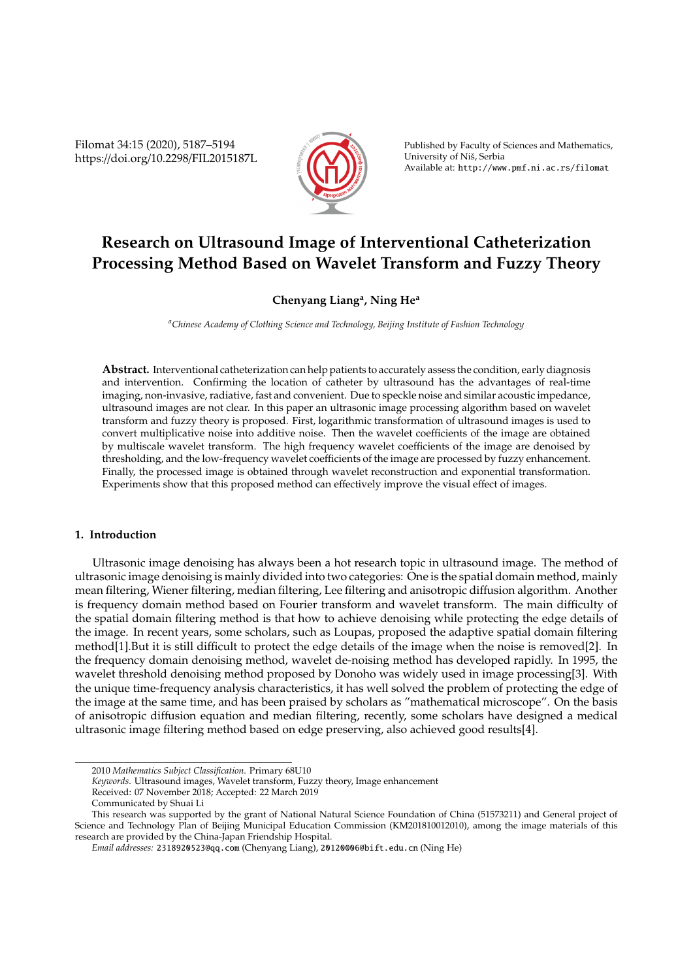Filomat 34:15 (2020), 5187–5194 https://doi.org/10.2298/FIL2015187L



Published by Faculty of Sciences and Mathematics, University of Nis, Serbia ˇ Available at: http://www.pmf.ni.ac.rs/filomat

# **Research on Ultrasound Image of Interventional Catheterization Processing Method Based on Wavelet Transform and Fuzzy Theory**

# **Chenyang Liang<sup>a</sup> , Ning He<sup>a</sup>**

*<sup>a</sup>Chinese Academy of Clothing Science and Technology, Beijing Institute of Fashion Technology*

**Abstract.** Interventional catheterization can help patients to accurately assess the condition, early diagnosis and intervention. Confirming the location of catheter by ultrasound has the advantages of real-time imaging, non-invasive, radiative, fast and convenient. Due to speckle noise and similar acoustic impedance, ultrasound images are not clear. In this paper an ultrasonic image processing algorithm based on wavelet transform and fuzzy theory is proposed. First, logarithmic transformation of ultrasound images is used to convert multiplicative noise into additive noise. Then the wavelet coefficients of the image are obtained by multiscale wavelet transform. The high frequency wavelet coefficients of the image are denoised by thresholding, and the low-frequency wavelet coefficients of the image are processed by fuzzy enhancement. Finally, the processed image is obtained through wavelet reconstruction and exponential transformation. Experiments show that this proposed method can effectively improve the visual effect of images.

# **1. Introduction**

Ultrasonic image denoising has always been a hot research topic in ultrasound image. The method of ultrasonic image denoising is mainly divided into two categories: One is the spatial domain method, mainly mean filtering, Wiener filtering, median filtering, Lee filtering and anisotropic diffusion algorithm. Another is frequency domain method based on Fourier transform and wavelet transform. The main difficulty of the spatial domain filtering method is that how to achieve denoising while protecting the edge details of the image. In recent years, some scholars, such as Loupas, proposed the adaptive spatial domain filtering method[1].But it is still difficult to protect the edge details of the image when the noise is removed[2]. In the frequency domain denoising method, wavelet de-noising method has developed rapidly. In 1995, the wavelet threshold denoising method proposed by Donoho was widely used in image processing[3]. With the unique time-frequency analysis characteristics, it has well solved the problem of protecting the edge of the image at the same time, and has been praised by scholars as "mathematical microscope". On the basis of anisotropic diffusion equation and median filtering, recently, some scholars have designed a medical ultrasonic image filtering method based on edge preserving, also achieved good results[4].

Received: 07 November 2018; Accepted: 22 March 2019

<sup>2010</sup> *Mathematics Subject Classification*. Primary 68U10

*Keywords*. Ultrasound images, Wavelet transform, Fuzzy theory, Image enhancement

Communicated by Shuai Li

This research was supported by the grant of National Natural Science Foundation of China (51573211) and General project of Science and Technology Plan of Beijing Municipal Education Commission (KM201810012010), among the image materials of this research are provided by the China-Japan Friendship Hospital.

*Email addresses:* 2318920523@qq.com (Chenyang Liang), 20120006@bift.edu.cn (Ning He)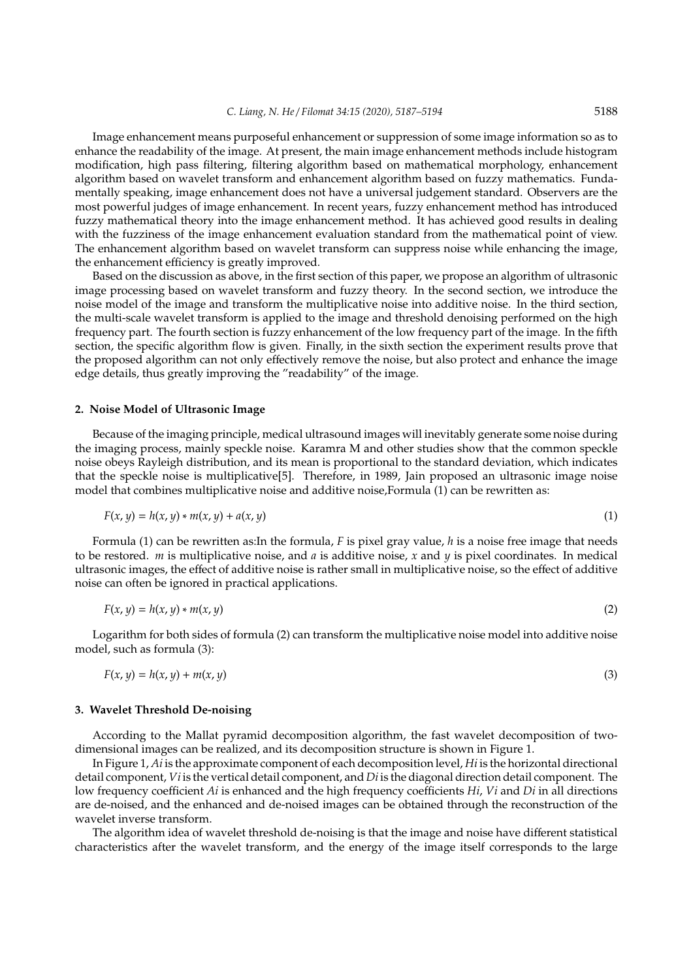Image enhancement means purposeful enhancement or suppression of some image information so as to enhance the readability of the image. At present, the main image enhancement methods include histogram modification, high pass filtering, filtering algorithm based on mathematical morphology, enhancement algorithm based on wavelet transform and enhancement algorithm based on fuzzy mathematics. Fundamentally speaking, image enhancement does not have a universal judgement standard. Observers are the most powerful judges of image enhancement. In recent years, fuzzy enhancement method has introduced fuzzy mathematical theory into the image enhancement method. It has achieved good results in dealing with the fuzziness of the image enhancement evaluation standard from the mathematical point of view. The enhancement algorithm based on wavelet transform can suppress noise while enhancing the image, the enhancement efficiency is greatly improved.

Based on the discussion as above, in the first section of this paper, we propose an algorithm of ultrasonic image processing based on wavelet transform and fuzzy theory. In the second section, we introduce the noise model of the image and transform the multiplicative noise into additive noise. In the third section, the multi-scale wavelet transform is applied to the image and threshold denoising performed on the high frequency part. The fourth section is fuzzy enhancement of the low frequency part of the image. In the fifth section, the specific algorithm flow is given. Finally, in the sixth section the experiment results prove that the proposed algorithm can not only effectively remove the noise, but also protect and enhance the image edge details, thus greatly improving the "readability" of the image.

#### **2. Noise Model of Ultrasonic Image**

Because of the imaging principle, medical ultrasound images will inevitably generate some noise during the imaging process, mainly speckle noise. Karamra M and other studies show that the common speckle noise obeys Rayleigh distribution, and its mean is proportional to the standard deviation, which indicates that the speckle noise is multiplicative[5]. Therefore, in 1989, Jain proposed an ultrasonic image noise model that combines multiplicative noise and additive noise,Formula (1) can be rewritten as:

$$
F(x, y) = h(x, y) * m(x, y) + a(x, y)
$$
\n(1)

Formula (1) can be rewritten as:In the formula, *F* is pixel gray value, *h* is a noise free image that needs to be restored. *m* is multiplicative noise, and *a* is additive noise, *x* and *y* is pixel coordinates. In medical ultrasonic images, the effect of additive noise is rather small in multiplicative noise, so the effect of additive noise can often be ignored in practical applications.

$$
F(x, y) = h(x, y) * m(x, y)
$$
\n<sup>(2)</sup>

Logarithm for both sides of formula (2) can transform the multiplicative noise model into additive noise model, such as formula (3):

$$
F(x, y) = h(x, y) + m(x, y) \tag{3}
$$

#### **3. Wavelet Threshold De-noising**

According to the Mallat pyramid decomposition algorithm, the fast wavelet decomposition of twodimensional images can be realized, and its decomposition structure is shown in Figure 1.

In Figure 1, *Ai* is the approximate component of each decomposition level, *Hi* is the horizontal directional detail component, *Vi* is the vertical detail component, and *Di* is the diagonal direction detail component. The low frequency coefficient *Ai* is enhanced and the high frequency coefficients *Hi*, *Vi* and *Di* in all directions are de-noised, and the enhanced and de-noised images can be obtained through the reconstruction of the wavelet inverse transform.

The algorithm idea of wavelet threshold de-noising is that the image and noise have different statistical characteristics after the wavelet transform, and the energy of the image itself corresponds to the large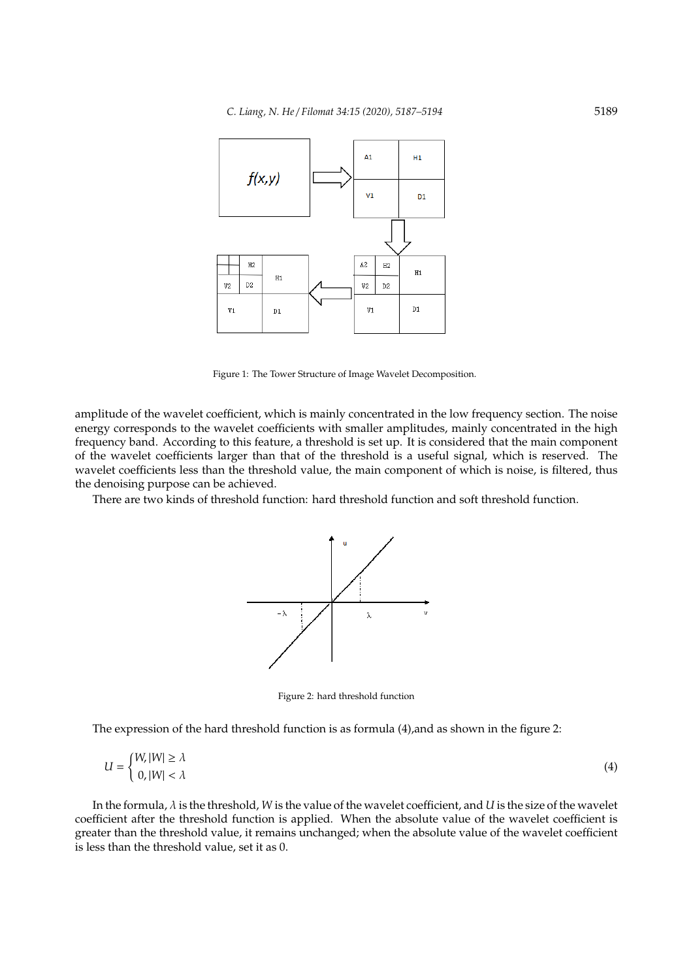

Figure 1: The Tower Structure of Image Wavelet Decomposition.

amplitude of the wavelet coefficient, which is mainly concentrated in the low frequency section. The noise energy corresponds to the wavelet coefficients with smaller amplitudes, mainly concentrated in the high frequency band. According to this feature, a threshold is set up. It is considered that the main component of the wavelet coefficients larger than that of the threshold is a useful signal, which is reserved. The wavelet coefficients less than the threshold value, the main component of which is noise, is filtered, thus the denoising purpose can be achieved.

There are two kinds of threshold function: hard threshold function and soft threshold function.



Figure 2: hard threshold function

The expression of the hard threshold function is as formula (4),and as shown in the figure 2:

$$
U = \begin{cases} W, |W| \ge \lambda \\ 0, |W| < \lambda \end{cases} \tag{4}
$$

In the formula, λ is the threshold, *W* is the value of the wavelet coefficient, and *U* is the size of the wavelet coefficient after the threshold function is applied. When the absolute value of the wavelet coefficient is greater than the threshold value, it remains unchanged; when the absolute value of the wavelet coefficient is less than the threshold value, set it as 0.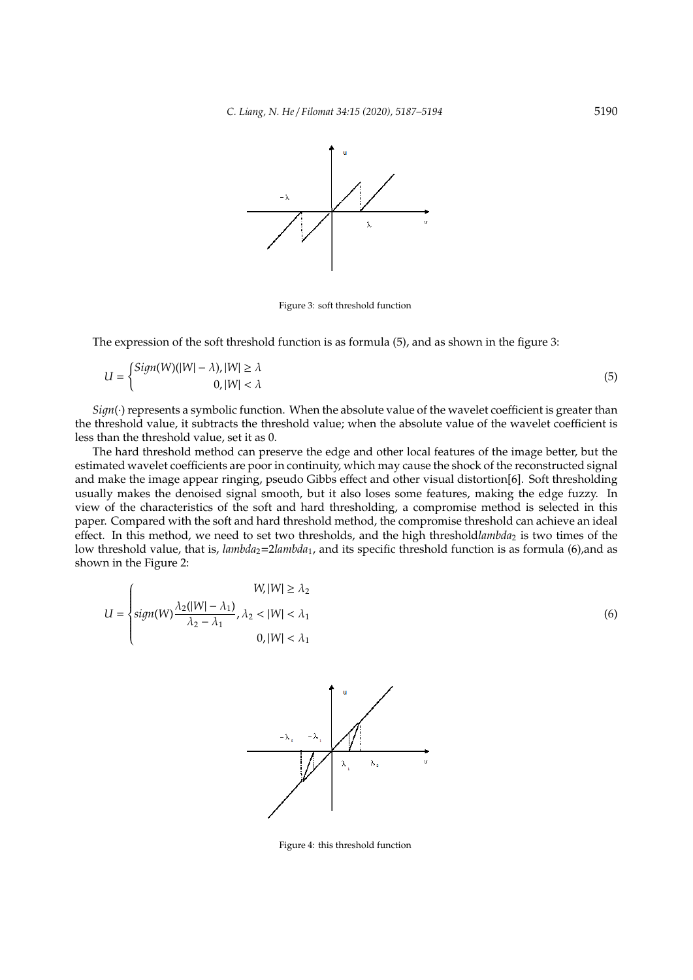

Figure 3: soft threshold function

The expression of the soft threshold function is as formula (5), and as shown in the figure 3:

$$
U = \begin{cases} Sign(W)(|W| - \lambda), |W| \ge \lambda \\ 0, |W| < \lambda \end{cases} \tag{5}
$$

 $Sign(\cdot)$  represents a symbolic function. When the absolute value of the wavelet coefficient is greater than the threshold value, it subtracts the threshold value; when the absolute value of the wavelet coefficient is less than the threshold value, set it as 0.

The hard threshold method can preserve the edge and other local features of the image better, but the estimated wavelet coefficients are poor in continuity, which may cause the shock of the reconstructed signal and make the image appear ringing, pseudo Gibbs effect and other visual distortion[6]. Soft thresholding usually makes the denoised signal smooth, but it also loses some features, making the edge fuzzy. In view of the characteristics of the soft and hard thresholding, a compromise method is selected in this paper. Compared with the soft and hard threshold method, the compromise threshold can achieve an ideal effect. In this method, we need to set two thresholds, and the high thresholdlambda<sub>2</sub> is two times of the low threshold value, that is, *lambda*<sub>2</sub>=2*lambda*<sub>1</sub>, and its specific threshold function is as formula (6),and as shown in the Figure 2:

$$
U = \begin{cases} W, |W| \ge \lambda_2 \\ sign(W) \frac{\lambda_2(|W| - \lambda_1)}{\lambda_2 - \lambda_1}, \lambda_2 < |W| < \lambda_1 \\ 0, |W| < \lambda_1 \end{cases} \tag{6}
$$



Figure 4: this threshold function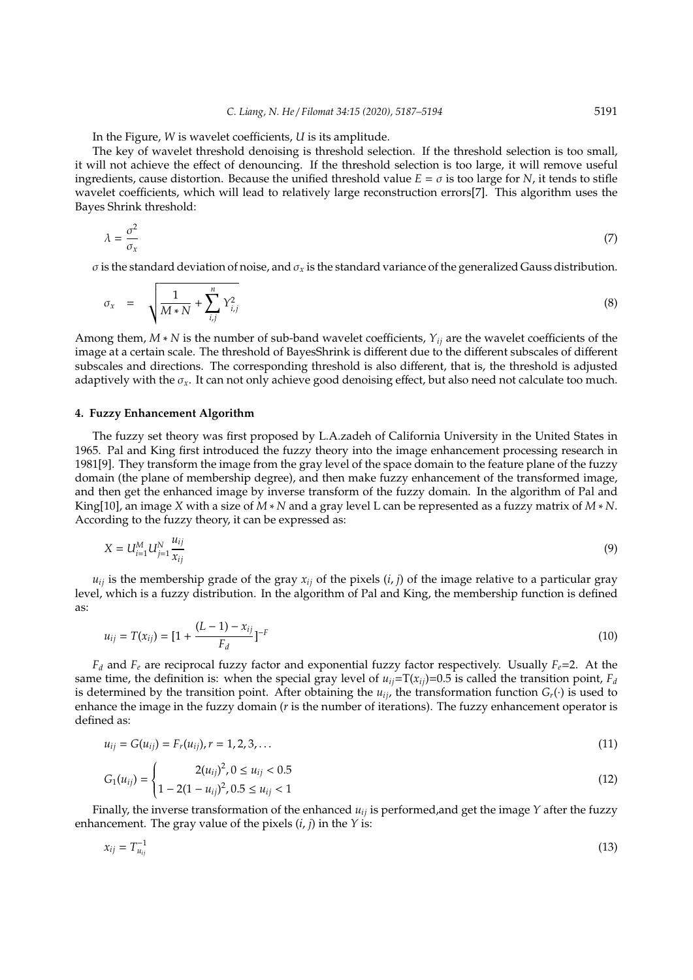In the Figure, *W* is wavelet coefficients, *U* is its amplitude.

The key of wavelet threshold denoising is threshold selection. If the threshold selection is too small, it will not achieve the effect of denouncing. If the threshold selection is too large, it will remove useful ingredients, cause distortion. Because the unified threshold value  $E = \sigma$  is too large for *N*, it tends to stifle wavelet coefficients, which will lead to relatively large reconstruction errors[7]. This algorithm uses the Bayes Shrink threshold:

$$
\lambda = \frac{\sigma^2}{\sigma_x} \tag{7}
$$

σ is the standard deviation of noise, and σ*<sup>x</sup>* is the standard variance of the generalized Gauss distribution.

$$
\sigma_x = \sqrt{\frac{1}{M*N} + \sum_{i,j}^{n} Y_{i,j}^2}
$$
\n(8)

Among them, *M* ∗ *N* is the number of sub-band wavelet coefficients, *Yij* are the wavelet coefficients of the image at a certain scale. The threshold of BayesShrink is different due to the different subscales of different subscales and directions. The corresponding threshold is also different, that is, the threshold is adjusted adaptively with the σ*x*. It can not only achieve good denoising effect, but also need not calculate too much.

# **4. Fuzzy Enhancement Algorithm**

The fuzzy set theory was first proposed by L.A.zadeh of California University in the United States in 1965. Pal and King first introduced the fuzzy theory into the image enhancement processing research in 1981[9]. They transform the image from the gray level of the space domain to the feature plane of the fuzzy domain (the plane of membership degree), and then make fuzzy enhancement of the transformed image, and then get the enhanced image by inverse transform of the fuzzy domain. In the algorithm of Pal and King[10], an image *X* with a size of *M* ∗ *N* and a gray level L can be represented as a fuzzy matrix of *M* ∗ *N*. According to the fuzzy theory, it can be expressed as:

$$
X = U_{i=1}^{M} U_{j=1}^{N} \frac{u_{ij}}{x_{ij}}
$$
(9)

 $u_{ij}$  is the membership grade of the gray  $x_{ij}$  of the pixels  $(i, j)$  of the image relative to a particular gray level, which is a fuzzy distribution. In the algorithm of Pal and King, the membership function is defined as:

$$
u_{ij} = T(x_{ij}) = [1 + \frac{(L-1) - x_{ij}}{F_d}]^{-F}
$$
\n(10)

 $F_d$  and  $F_e$  are reciprocal fuzzy factor and exponential fuzzy factor respectively. Usually  $F_e$ =2. At the same time, the definition is: when the special gray level of  $u_{ij} = T(x_{ij}) = 0.5$  is called the transition point,  $F_d$ is determined by the transition point. After obtaining the  $u_{ij}$ , the transformation function  $G_r(\cdot)$  is used to enhance the image in the fuzzy domain (*r* is the number of iterations). The fuzzy enhancement operator is defined as:

$$
u_{ij} = G(u_{ij}) = F_r(u_{ij}), r = 1, 2, 3, ... \tag{11}
$$

$$
G_1(u_{ij}) = \begin{cases} 2(u_{ij})^2, 0 \le u_{ij} < 0.5\\ 1 - 2(1 - u_{ij})^2, 0.5 \le u_{ij} < 1 \end{cases}
$$
(12)

Finally, the inverse transformation of the enhanced  $u_i$  is performed, and get the image  $Y$  after the fuzzy enhancement. The gray value of the pixels (*i*, *j*) in the *Y* is:

$$
x_{ij} = T_{u_{ij}}^{-1}
$$
 (13)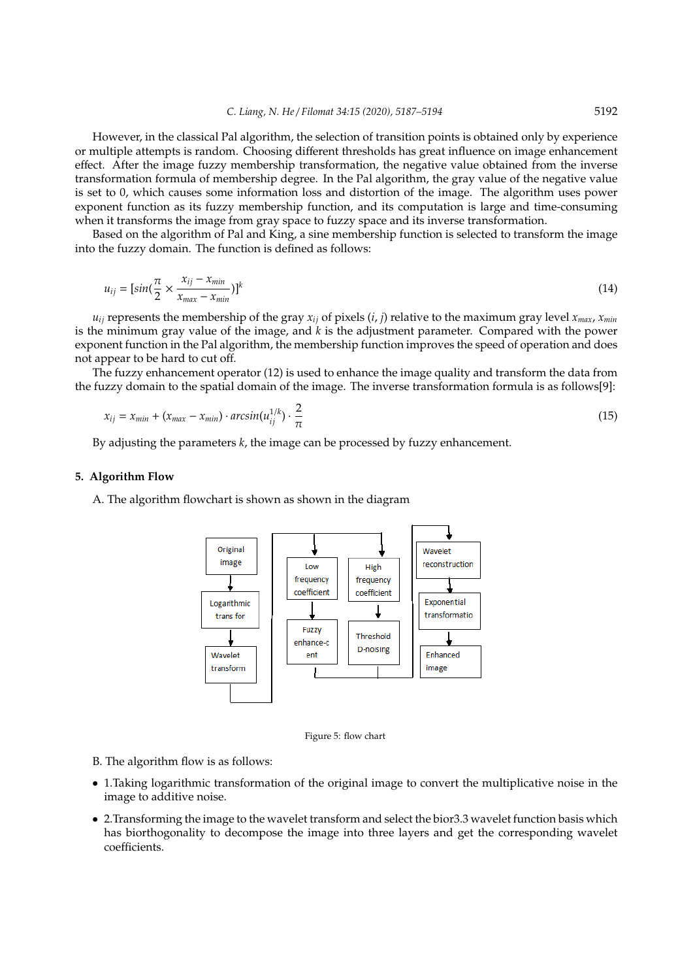However, in the classical Pal algorithm, the selection of transition points is obtained only by experience or multiple attempts is random. Choosing different thresholds has great influence on image enhancement effect. After the image fuzzy membership transformation, the negative value obtained from the inverse transformation formula of membership degree. In the Pal algorithm, the gray value of the negative value is set to 0, which causes some information loss and distortion of the image. The algorithm uses power exponent function as its fuzzy membership function, and its computation is large and time-consuming when it transforms the image from gray space to fuzzy space and its inverse transformation.

Based on the algorithm of Pal and King, a sine membership function is selected to transform the image into the fuzzy domain. The function is defined as follows:

$$
u_{ij} = [sin(\frac{\pi}{2} \times \frac{x_{ij} - x_{min}}{x_{max} - x_{min}})]^k
$$
\n(14)

 $u_{ij}$  represents the membership of the gray  $x_{ij}$  of pixels  $(i, j)$  relative to the maximum gray level  $x_{max}$ ,  $x_{min}$ is the minimum gray value of the image, and *k* is the adjustment parameter. Compared with the power exponent function in the Pal algorithm, the membership function improves the speed of operation and does not appear to be hard to cut off.

The fuzzy enhancement operator (12) is used to enhance the image quality and transform the data from the fuzzy domain to the spatial domain of the image. The inverse transformation formula is as follows[9]:

$$
x_{ij} = x_{min} + (x_{max} - x_{min}) \cdot \arcsin(u_{ij}^{1/k}) \cdot \frac{2}{\pi} \tag{15}
$$

By adjusting the parameters *k*, the image can be processed by fuzzy enhancement.

# **5. Algorithm Flow**

A. The algorithm flowchart is shown as shown in the diagram



Figure 5: flow chart

B. The algorithm flow is as follows:

- 1.Taking logarithmic transformation of the original image to convert the multiplicative noise in the image to additive noise.
- 2.Transforming the image to the wavelet transform and select the bior3.3 wavelet function basis which has biorthogonality to decompose the image into three layers and get the corresponding wavelet coefficients.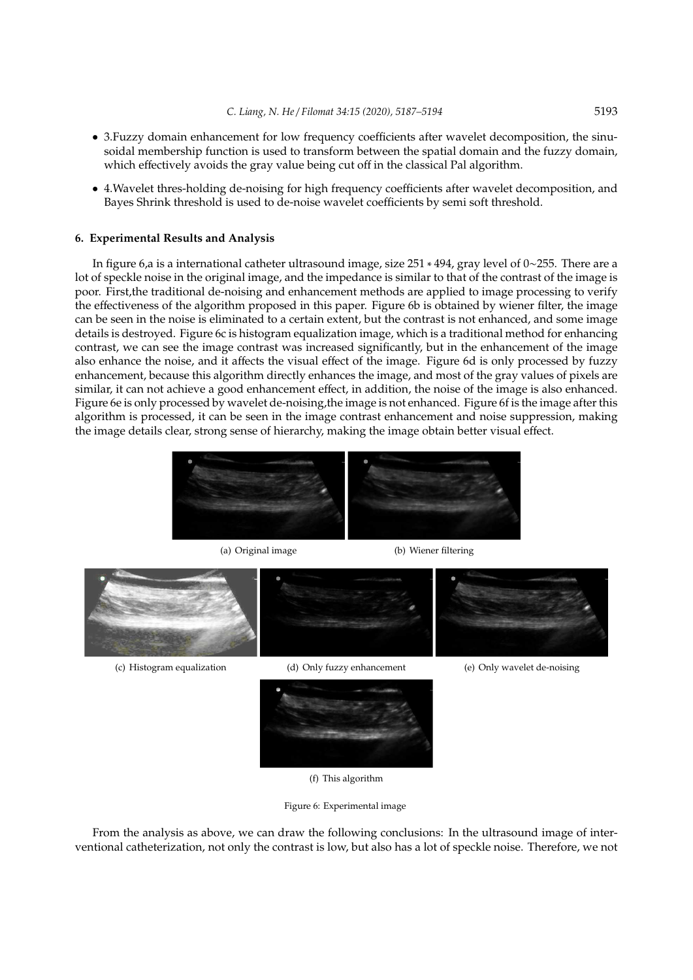- 3.Fuzzy domain enhancement for low frequency coefficients after wavelet decomposition, the sinusoidal membership function is used to transform between the spatial domain and the fuzzy domain, which effectively avoids the gray value being cut off in the classical Pal algorithm.
- 4.Wavelet thres-holding de-noising for high frequency coefficients after wavelet decomposition, and Bayes Shrink threshold is used to de-noise wavelet coefficients by semi soft threshold.

# **6. Experimental Results and Analysis**

In figure 6,a is a international catheter ultrasound image, size 251 ∗ 494, gray level of 0∼255. There are a lot of speckle noise in the original image, and the impedance is similar to that of the contrast of the image is poor. First,the traditional de-noising and enhancement methods are applied to image processing to verify the effectiveness of the algorithm proposed in this paper. Figure 6b is obtained by wiener filter, the image can be seen in the noise is eliminated to a certain extent, but the contrast is not enhanced, and some image details is destroyed. Figure 6c is histogram equalization image, which is a traditional method for enhancing contrast, we can see the image contrast was increased significantly, but in the enhancement of the image also enhance the noise, and it affects the visual effect of the image. Figure 6d is only processed by fuzzy enhancement, because this algorithm directly enhances the image, and most of the gray values of pixels are similar, it can not achieve a good enhancement effect, in addition, the noise of the image is also enhanced. Figure 6e is only processed by wavelet de-noising,the image is not enhanced. Figure 6f is the image after this algorithm is processed, it can be seen in the image contrast enhancement and noise suppression, making the image details clear, strong sense of hierarchy, making the image obtain better visual effect.





(f) This algorithm

Figure 6: Experimental image

From the analysis as above, we can draw the following conclusions: In the ultrasound image of interventional catheterization, not only the contrast is low, but also has a lot of speckle noise. Therefore, we not